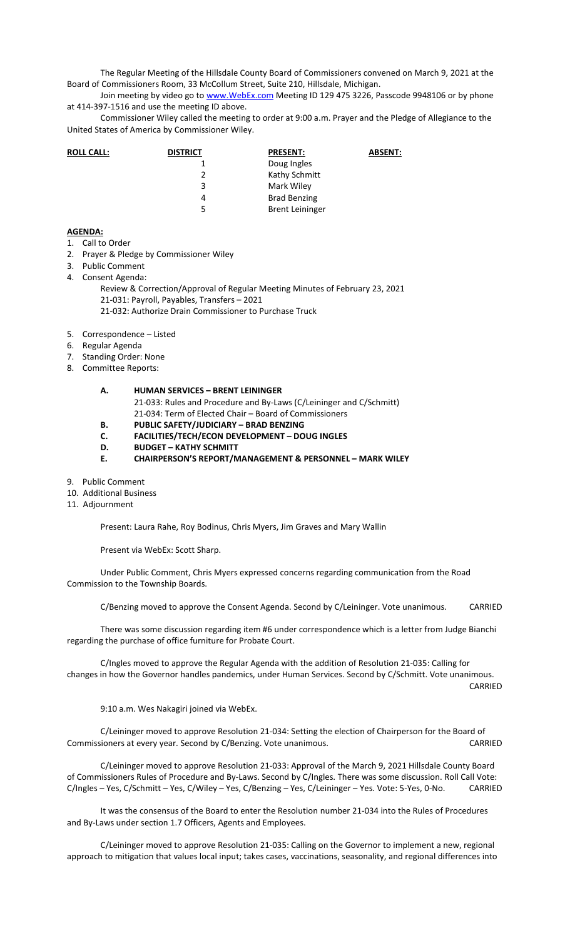The Regular Meeting of the Hillsdale County Board of Commissioners convened on March 9, 2021 at the Board of Commissioners Room, 33 McCollum Street, Suite 210, Hillsdale, Michigan.

Join meeting by video go to www. WebEx.com Meeting ID 129 475 3226, Passcode 9948106 or by phone at 414-397-1516 and use the meeting ID above.

Commissioner Wiley called the meeting to order at 9:00 a.m. Prayer and the Pledge of Allegiance to the United States of America by Commissioner Wiley.

| <b>ROLL CALL:</b> | <b>DISTRICT</b> | <b>PRESENT:</b>        | <b>ABSENT:</b> |
|-------------------|-----------------|------------------------|----------------|
|                   |                 | Doug Ingles            |                |
|                   | 2               | Kathy Schmitt          |                |
|                   | 3               | Mark Wiley             |                |
|                   | 4               | <b>Brad Benzing</b>    |                |
|                   | 5.              | <b>Brent Leininger</b> |                |

## **AGENDA:**

- 1. Call to Order
- 2. Prayer & Pledge by Commissioner Wiley
- 3. Public Comment
- 4. Consent Agenda:
	- Review & Correction/Approval of Regular Meeting Minutes of February 23, 2021 21-031: Payroll, Payables, Transfers – 2021 21-032: Authorize Drain Commissioner to Purchase Truck
- 5. Correspondence Listed
- 6. Regular Agenda
- 7. Standing Order: None
- 8. Committee Reports:

## **A. HUMAN SERVICES – BRENT LEININGER** 21-033: Rules and Procedure and By-Laws (C/Leininger and C/Schmitt) 21-034: Term of Elected Chair – Board of Commissioners

- **B. PUBLIC SAFETY/JUDICIARY BRAD BENZING**
- **C. FACILITIES/TECH/ECON DEVELOPMENT DOUG INGLES**
- **D. BUDGET KATHY SCHMITT**
- **E. CHAIRPERSON'S REPORT/MANAGEMENT & PERSONNEL MARK WILEY**
- 9. Public Comment
- 10. Additional Business
- 11. Adjournment

Present: Laura Rahe, Roy Bodinus, Chris Myers, Jim Graves and Mary Wallin

Present via WebEx: Scott Sharp.

Under Public Comment, Chris Myers expressed concerns regarding communication from the Road Commission to the Township Boards.

C/Benzing moved to approve the Consent Agenda. Second by C/Leininger. Vote unanimous. CARRIED

There was some discussion regarding item #6 under correspondence which is a letter from Judge Bianchi regarding the purchase of office furniture for Probate Court.

C/Ingles moved to approve the Regular Agenda with the addition of Resolution 21-035: Calling for changes in how the Governor handles pandemics, under Human Services. Second by C/Schmitt. Vote unanimous.

CARRIED

9:10 a.m. Wes Nakagiri joined via WebEx.

C/Leininger moved to approve Resolution 21-034: Setting the election of Chairperson for the Board of Commissioners at every year. Second by C/Benzing. Vote unanimous. CARRIED

C/Leininger moved to approve Resolution 21-033: Approval of the March 9, 2021 Hillsdale County Board of Commissioners Rules of Procedure and By-Laws. Second by C/Ingles. There was some discussion. Roll Call Vote: C/Ingles – Yes, C/Schmitt – Yes, C/Wiley – Yes, C/Benzing – Yes, C/Leininger – Yes. Vote: 5-Yes, 0-No. CARRIED

It was the consensus of the Board to enter the Resolution number 21-034 into the Rules of Procedures and By-Laws under section 1.7 Officers, Agents and Employees.

C/Leininger moved to approve Resolution 21-035: Calling on the Governor to implement a new, regional approach to mitigation that values local input; takes cases, vaccinations, seasonality, and regional differences into